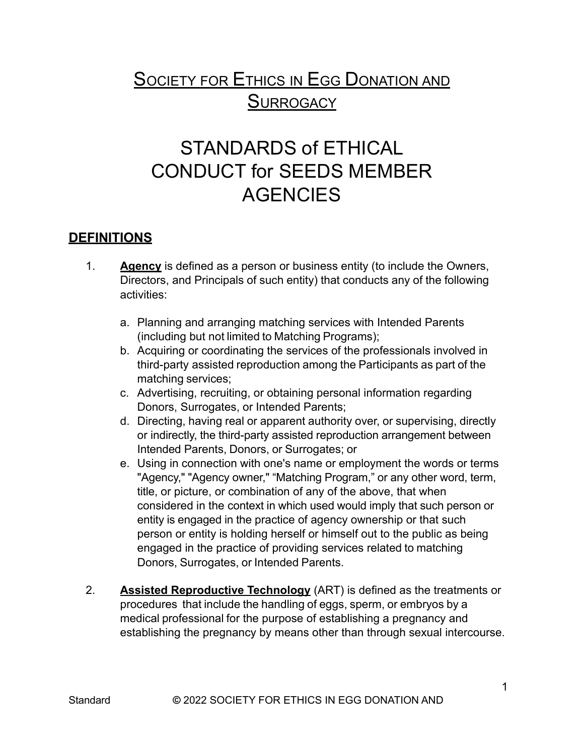## **SOCIETY FOR ETHICS IN EGG DONATION AND SURROGACY**

## STANDARDS of ETHICAL CONDUCT for SEEDS MEMBER **AGENCIES**

## **DEFINITIONS**

- 1. **Agency** is defined as a person or business entity (to include the Owners, Directors, and Principals of such entity) that conducts any of the following activities:
	- a. Planning and arranging matching services with Intended Parents (including but not limited to Matching Programs);
	- b. Acquiring or coordinating the services of the professionals involved in third-party assisted reproduction among the Participants as part of the matching services;
	- c. Advertising, recruiting, or obtaining personal information regarding Donors, Surrogates, or Intended Parents;
	- d. Directing, having real or apparent authority over, or supervising, directly or indirectly, the third-party assisted reproduction arrangement between Intended Parents, Donors, or Surrogates; or
	- e. Using in connection with one's name or employment the words or terms "Agency," "Agency owner," "Matching Program," or any other word, term, title, or picture, or combination of any of the above, that when considered in the context in which used would imply that such person or entity is engaged in the practice of agency ownership or that such person or entity is holding herself or himself out to the public as being engaged in the practice of providing services related to matching Donors, Surrogates, or Intended Parents.
- 2. **Assisted Reproductive Technology** (ART) is defined as the treatments or procedures that include the handling of eggs, sperm, or embryos by a medical professional for the purpose of establishing a pregnancy and establishing the pregnancy by means other than through sexual intercourse.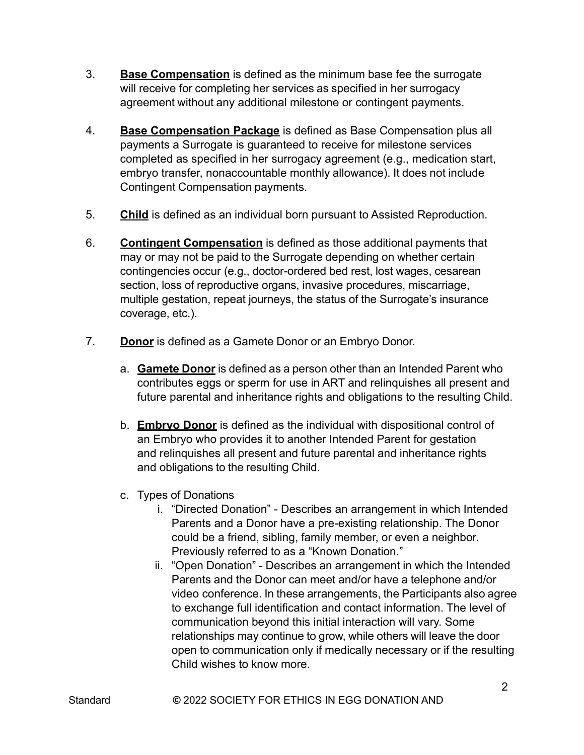- 3. **Base Compensation** is defined as the minimum base fee the surrogate will receive for completing her services as specified in her surrogacy agreement without any additional milestone or contingent payments.
- 4. **Base Compensation Package** is defined as Base Compensation plus all payments a Surrogate is guaranteed to receive for milestone services completed as specified in her surrogacy agreement (e.g., medication start, embryo transfer, nonaccountable monthly allowance). It does not include Contingent Compensation payments.
- 5. **Child** is defined as an individual born pursuant to Assisted Reproduction.
- 6. **Contingent Compensation** is defined as those additional payments that may or may not be paid to the Surrogate depending on whether certain contingencies occur (e.g., doctor-ordered bed rest, lost wages, cesarean section, loss of reproductive organs, invasive procedures, miscarriage, multiple gestation, repeat journeys, the status of the Surrogate's insurance coverage, etc.).
- 7. **Donor** is defined as a Gamete Donor or an Embryo Donor.
	- a. **Gamete Donor** is defined as a person other than an Intended Parent who contributes eggs or sperm for use in ART and relinquishes all present and future parental and inheritance rights and obligations to the resulting Child.
	- b. **Embryo Donor** is defined as the individual with dispositional control of an Embryo who provides it to another Intended Parent for gestation and relinquishes all present and future parental and inheritance rights and obligations to the resulting Child.
	- c. Types of Donations
		- i. "Directed Donation" Describes an arrangement in which Intended Parents and a Donor have a pre-existing relationship. The Donor could be a friend, sibling, family member, or even a neighbor. Previously referred to as a "Known Donation."
		- ii. "Open Donation" Describes an arrangement in which the Intended Parents and the Donor can meet and/or have a telephone and/or video conference. In these arrangements, the Participants also agree to exchange full identification and contact information. The level of communication beyond this initial interaction will vary. Some relationships may continue to grow, while others will leave the door open to communication only if medically necessary or if the resulting Child wishes to know more.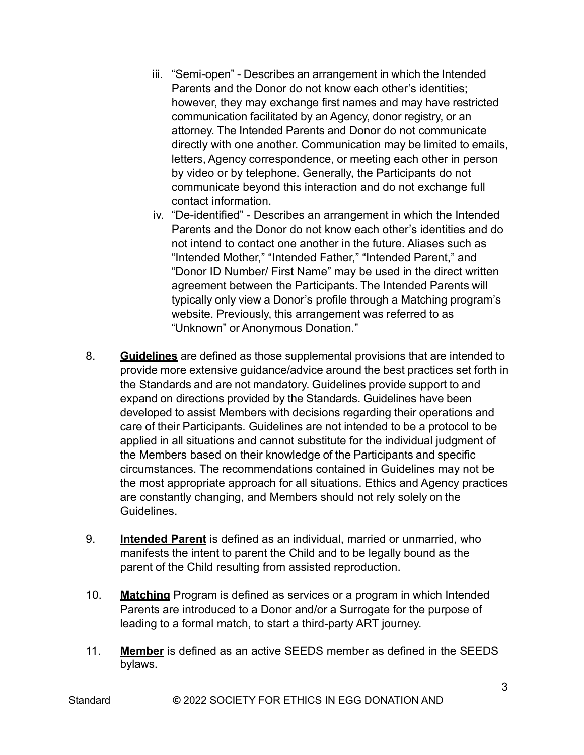- iii. "Semi-open" Describes an arrangement in which the Intended Parents and the Donor do not know each other's identities; however, they may exchange first names and may have restricted communication facilitated by an Agency, donor registry, or an attorney. The Intended Parents and Donor do not communicate directly with one another. Communication may be limited to emails, letters, Agency correspondence, or meeting each other in person by video or by telephone. Generally, the Participants do not communicate beyond this interaction and do not exchange full contact information.
- iv. "De-identified" Describes an arrangement in which the Intended Parents and the Donor do not know each other's identities and do not intend to contact one another in the future. Aliases such as "Intended Mother," "Intended Father," "Intended Parent," and "Donor ID Number/ First Name" may be used in the direct written agreement between the Participants. The Intended Parents will typically only view a Donor's profile through a Matching program's website. Previously, this arrangement was referred to as "Unknown" or Anonymous Donation."
- 8. **Guidelines** are defined as those supplemental provisions that are intended to provide more extensive guidance/advice around the best practices set forth in the Standards and are not mandatory. Guidelines provide support to and expand on directions provided by the Standards. Guidelines have been developed to assist Members with decisions regarding their operations and care of their Participants. Guidelines are not intended to be a protocol to be applied in all situations and cannot substitute for the individual judgment of the Members based on their knowledge of the Participants and specific circumstances. The recommendations contained in Guidelines may not be the most appropriate approach for all situations. Ethics and Agency practices are constantly changing, and Members should not rely solely on the **Guidelines**
- 9. **Intended Parent** is defined as an individual, married or unmarried, who manifests the intent to parent the Child and to be legally bound as the parent of the Child resulting from assisted reproduction.
- 10. **Matching** Program is defined as services or a program in which Intended Parents are introduced to a Donor and/or a Surrogate for the purpose of leading to a formal match, to start a third-party ART journey.
- 11. **Member** is defined as an active SEEDS member as defined in the SEEDS bylaws.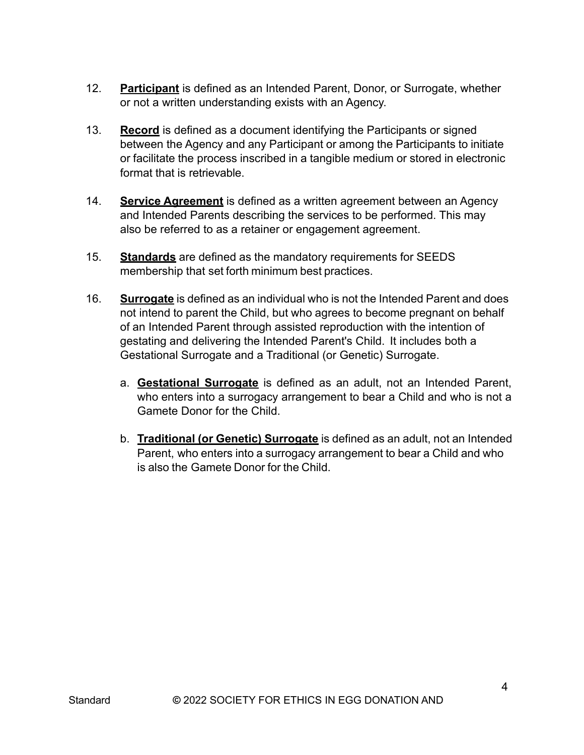- 12. **Participant** is defined as an Intended Parent, Donor, or Surrogate, whether or not a written understanding exists with an Agency.
- 13. **Record** is defined as a document identifying the Participants or signed between the Agency and any Participant or among the Participants to initiate or facilitate the process inscribed in a tangible medium or stored in electronic format that is retrievable.
- 14. **Service Agreement** is defined as a written agreement between an Agency and Intended Parents describing the services to be performed. This may also be referred to as a retainer or engagement agreement.
- 15. **Standards** are defined as the mandatory requirements for SEEDS membership that set forth minimum best practices.
- 16. **Surrogate** is defined as an individual who is not the Intended Parent and does not intend to parent the Child, but who agrees to become pregnant on behalf of an Intended Parent through assisted reproduction with the intention of gestating and delivering the Intended Parent's Child. It includes both a Gestational Surrogate and a Traditional (or Genetic) Surrogate.
	- a. **Gestational Surrogate** is defined as an adult, not an Intended Parent, who enters into a surrogacy arrangement to bear a Child and who is not a Gamete Donor for the Child.
	- b. **Traditional (or Genetic) Surrogate** is defined as an adult, not an Intended Parent, who enters into a surrogacy arrangement to bear a Child and who is also the Gamete Donor for the Child.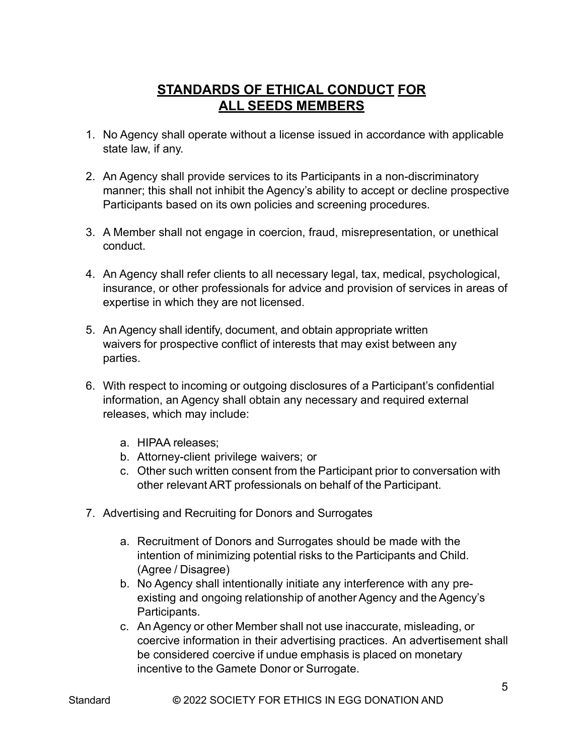## **STANDARDS OF ETHICAL CONDUCT FOR ALL SEEDS MEMBERS**

- 1. No Agency shall operate without a license issued in accordance with applicable state law, if any.
- 2. An Agency shall provide services to its Participants in a non-discriminatory manner; this shall not inhibit the Agency's ability to accept or decline prospective Participants based on its own policies and screening procedures.
- 3. A Member shall not engage in coercion, fraud, misrepresentation, or unethical conduct.
- 4. An Agency shall refer clients to all necessary legal, tax, medical, psychological, insurance, or other professionals for advice and provision of services in areas of expertise in which they are not licensed.
- 5. An Agency shall identify, document, and obtain appropriate written waivers for prospective conflict of interests that may exist between any parties.
- 6. With respect to incoming or outgoing disclosures of a Participant's confidential information, an Agency shall obtain any necessary and required external releases, which may include:
	- a. HIPAA releases;
	- b. Attorney-client privilege waivers; or
	- c. Other such written consent from the Participant prior to conversation with other relevant ART professionals on behalf of the Participant.
- 7. Advertising and Recruiting for Donors and Surrogates
	- a. Recruitment of Donors and Surrogates should be made with the intention of minimizing potential risks to the Participants and Child. (Agree / Disagree)
	- b. No Agency shall intentionally initiate any interference with any preexisting and ongoing relationship of another Agency and the Agency's Participants.
	- c. An Agency or other Member shall not use inaccurate, misleading, or coercive information in their advertising practices. An advertisement shall be considered coercive if undue emphasis is placed on monetary incentive to the Gamete Donor or Surrogate.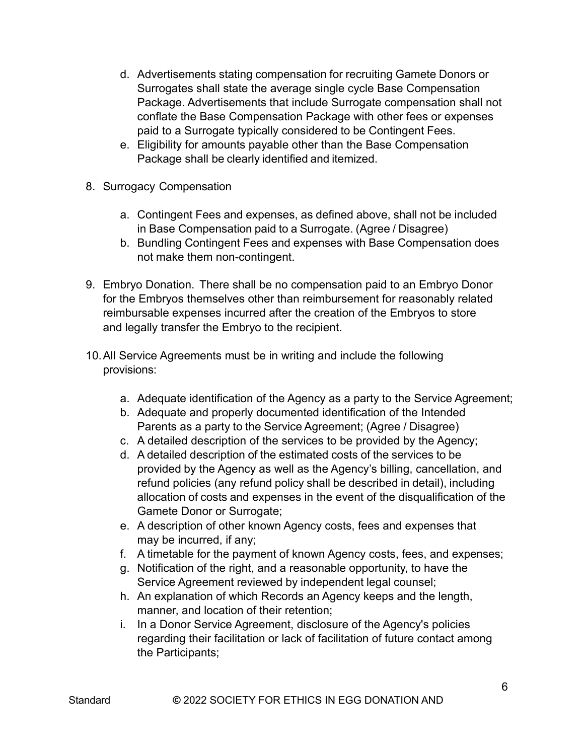- d. Advertisements stating compensation for recruiting Gamete Donors or Surrogates shall state the average single cycle Base Compensation Package. Advertisements that include Surrogate compensation shall not conflate the Base Compensation Package with other fees or expenses paid to a Surrogate typically considered to be Contingent Fees.
- e. Eligibility for amounts payable other than the Base Compensation Package shall be clearly identified and itemized.
- 8. Surrogacy Compensation
	- a. Contingent Fees and expenses, as defined above, shall not be included in Base Compensation paid to a Surrogate. (Agree / Disagree)
	- b. Bundling Contingent Fees and expenses with Base Compensation does not make them non-contingent.
- 9. Embryo Donation. There shall be no compensation paid to an Embryo Donor for the Embryos themselves other than reimbursement for reasonably related reimbursable expenses incurred after the creation of the Embryos to store and legally transfer the Embryo to the recipient.
- 10.All Service Agreements must be in writing and include the following provisions:
	- a. Adequate identification of the Agency as a party to the Service Agreement;
	- b. Adequate and properly documented identification of the Intended Parents as a party to the Service Agreement; (Agree / Disagree)
	- c. A detailed description of the services to be provided by the Agency;
	- d. A detailed description of the estimated costs of the services to be provided by the Agency as well as the Agency's billing, cancellation, and refund policies (any refund policy shall be described in detail), including allocation of costs and expenses in the event of the disqualification of the Gamete Donor or Surrogate;
	- e. A description of other known Agency costs, fees and expenses that may be incurred, if any;
	- f. A timetable for the payment of known Agency costs, fees, and expenses;
	- g. Notification of the right, and a reasonable opportunity, to have the Service Agreement reviewed by independent legal counsel;
	- h. An explanation of which Records an Agency keeps and the length, manner, and location of their retention;
	- i. In a Donor Service Agreement, disclosure of the Agency's policies regarding their facilitation or lack of facilitation of future contact among the Participants;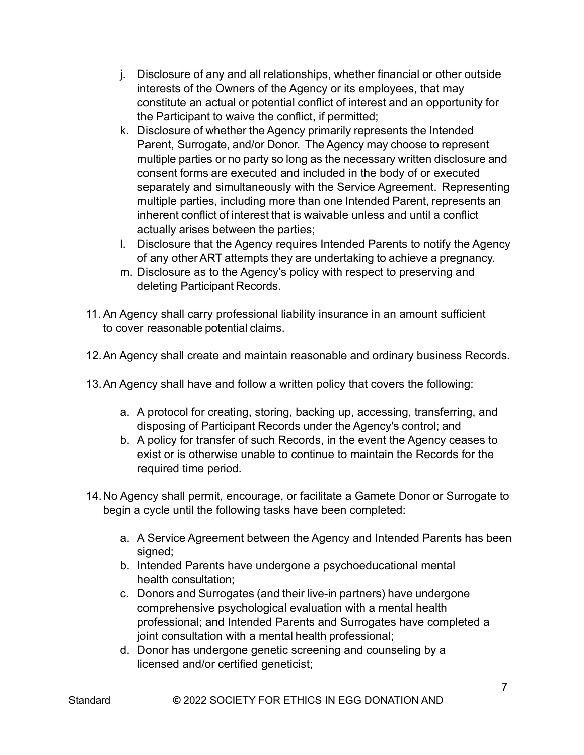- j. Disclosure of any and all relationships, whether financial or other outside interests of the Owners of the Agency or its employees, that may constitute an actual or potential conflict of interest and an opportunity for the Participant to waive the conflict, if permitted;
- k. Disclosure of whether the Agency primarily represents the Intended Parent, Surrogate, and/or Donor. The Agency may choose to represent multiple parties or no party so long as the necessary written disclosure and consent forms are executed and included in the body of or executed separately and simultaneously with the Service Agreement. Representing multiple parties, including more than one Intended Parent, represents an inherent conflict of interest that is waivable unless and until a conflict actually arises between the parties;
- l. Disclosure that the Agency requires Intended Parents to notify the Agency of any otherART attempts they are undertaking to achieve a pregnancy.
- m. Disclosure as to the Agency's policy with respect to preserving and deleting Participant Records.
- 11. An Agency shall carry professional liability insurance in an amount sufficient to cover reasonable potential claims.
- 12.An Agency shall create and maintain reasonable and ordinary business Records.
- 13.An Agency shall have and follow a written policy that covers the following:
	- a. A protocol for creating, storing, backing up, accessing, transferring, and disposing of Participant Records under the Agency's control; and
	- b. A policy for transfer of such Records, in the event the Agency ceases to exist or is otherwise unable to continue to maintain the Records for the required time period.
- 14.No Agency shall permit, encourage, or facilitate a Gamete Donor or Surrogate to begin a cycle until the following tasks have been completed:
	- a. A Service Agreement between the Agency and Intended Parents has been signed:
	- b. Intended Parents have undergone a psychoeducational mental health consultation;
	- c. Donors and Surrogates (and their live-in partners) have undergone comprehensive psychological evaluation with a mental health professional; and Intended Parents and Surrogates have completed a joint consultation with a mental health professional;
	- d. Donor has undergone genetic screening and counseling by a licensed and/or certified geneticist;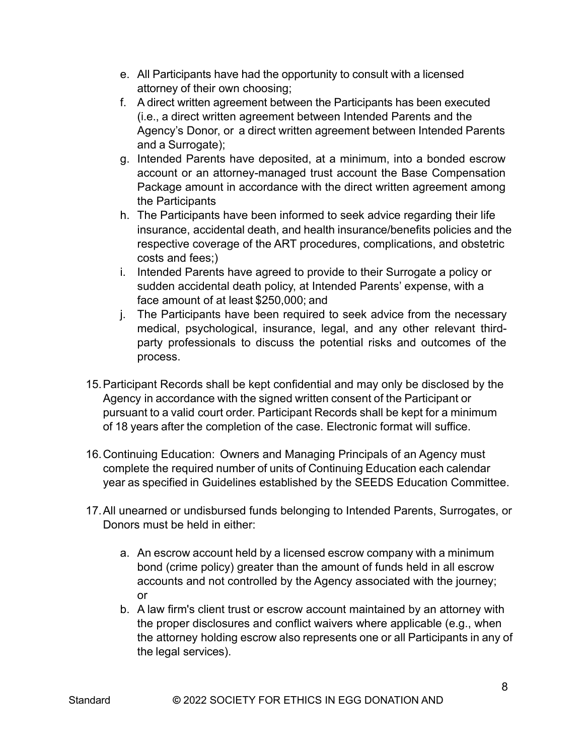- e. All Participants have had the opportunity to consult with a licensed attorney of their own choosing;
- f. A direct written agreement between the Participants has been executed (i.e., a direct written agreement between Intended Parents and the Agency's Donor, or a direct written agreement between Intended Parents and a Surrogate);
- g. Intended Parents have deposited, at a minimum, into a bonded escrow account or an attorney-managed trust account the Base Compensation Package amount in accordance with the direct written agreement among the Participants
- h. The Participants have been informed to seek advice regarding their life insurance, accidental death, and health insurance/benefits policies and the respective coverage of the ART procedures, complications, and obstetric costs and fees;)
- i. Intended Parents have agreed to provide to their Surrogate a policy or sudden accidental death policy, at Intended Parents' expense, with a face amount of at least \$250,000; and
- j. The Participants have been required to seek advice from the necessary medical, psychological, insurance, legal, and any other relevant thirdparty professionals to discuss the potential risks and outcomes of the process.
- 15.Participant Records shall be kept confidential and may only be disclosed by the Agency in accordance with the signed written consent of the Participant or pursuant to a valid court order. Participant Records shall be kept for a minimum of 18 years after the completion of the case. Electronic format will suffice.
- 16.Continuing Education: Owners and Managing Principals of an Agency must complete the required number of units of Continuing Education each calendar year as specified in Guidelines established by the SEEDS Education Committee.
- 17.All unearned or undisbursed funds belonging to Intended Parents, Surrogates, or Donors must be held in either:
	- a. An escrow account held by a licensed escrow company with a minimum bond (crime policy) greater than the amount of funds held in all escrow accounts and not controlled by the Agency associated with the journey; or
	- b. A law firm's client trust or escrow account maintained by an attorney with the proper disclosures and conflict waivers where applicable (e.g., when the attorney holding escrow also represents one or all Participants in any of the legal services).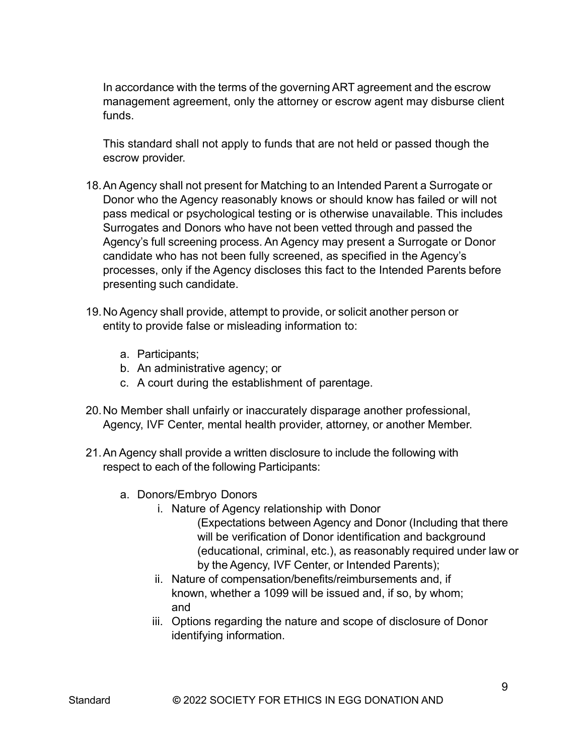In accordance with the terms of the governing ART agreement and the escrow management agreement, only the attorney or escrow agent may disburse client funds.

This standard shall not apply to funds that are not held or passed though the escrow provider.

- 18.AnAgency shall not present for Matching to an Intended Parent a Surrogate or Donor who the Agency reasonably knows or should know has failed or will not pass medical or psychological testing or is otherwise unavailable. This includes Surrogates and Donors who have not been vetted through and passed the Agency's full screening process. An Agency may present a Surrogate or Donor candidate who has not been fully screened, as specified in the Agency's processes, only if the Agency discloses this fact to the Intended Parents before presenting such candidate.
- 19. No Agency shall provide, attempt to provide, or solicit another person or entity to provide false or misleading information to:
	- a. Participants;
	- b. An administrative agency; or
	- c. A court during the establishment of parentage.
- 20.No Member shall unfairly or inaccurately disparage another professional, Agency, IVF Center, mental health provider, attorney, or another Member.
- 21.An Agency shall provide a written disclosure to include the following with respect to each of the following Participants:
	- a. Donors/Embryo Donors
		- i. Nature of Agency relationship with Donor
			- (Expectations between Agency and Donor (Including that there will be verification of Donor identification and background (educational, criminal, etc.), as reasonably required under law or by the Agency, IVF Center, or Intended Parents);
		- ii. Nature of compensation/benefits/reimbursements and, if known, whether a 1099 will be issued and, if so, by whom; and
		- iii. Options regarding the nature and scope of disclosure of Donor identifying information.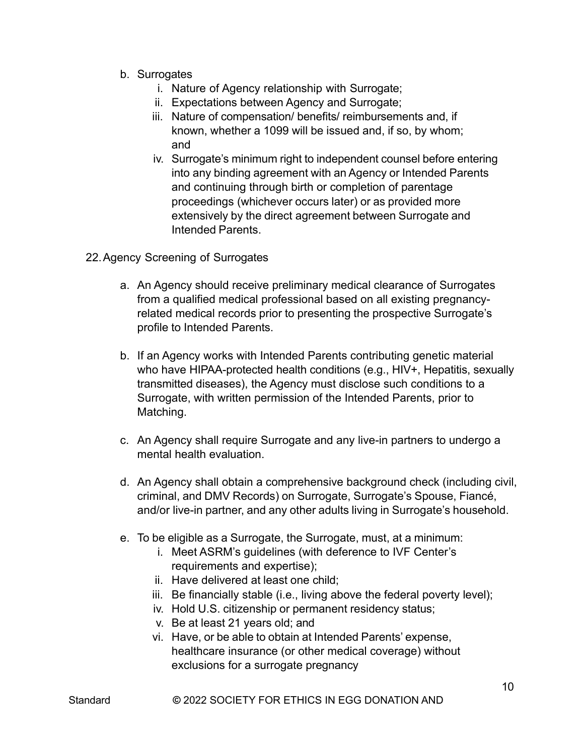- b. Surrogates
	- i. Nature of Agency relationship with Surrogate;
	- ii. Expectations between Agency and Surrogate;
	- iii. Nature of compensation/ benefits/ reimbursements and, if known, whether a 1099 will be issued and, if so, by whom; and
	- iv. Surrogate's minimum right to independent counsel before entering into any binding agreement with an Agency or Intended Parents and continuing through birth or completion of parentage proceedings (whichever occurs later) or as provided more extensively by the direct agreement between Surrogate and Intended Parents.
- 22.Agency Screening of Surrogates
	- a. An Agency should receive preliminary medical clearance of Surrogates from a qualified medical professional based on all existing pregnancyrelated medical records prior to presenting the prospective Surrogate's profile to Intended Parents.
	- b. If an Agency works with Intended Parents contributing genetic material who have HIPAA-protected health conditions (e.g., HIV+, Hepatitis, sexually transmitted diseases), the Agency must disclose such conditions to a Surrogate, with written permission of the Intended Parents, prior to Matching.
	- c. An Agency shall require Surrogate and any live-in partners to undergo a mental health evaluation.
	- d. An Agency shall obtain a comprehensive background check (including civil, criminal, and DMV Records) on Surrogate, Surrogate's Spouse, Fiancé, and/or live-in partner, and any other adults living in Surrogate's household.
	- e. To be eligible as a Surrogate, the Surrogate, must, at a minimum:
		- i. Meet ASRM's guidelines (with deference to IVF Center's requirements and expertise);
		- ii. Have delivered at least one child;
		- iii. Be financially stable (i.e., living above the federal poverty level);
		- iv. Hold U.S. citizenship or permanent residency status;
		- v. Be at least 21 years old; and
		- vi. Have, or be able to obtain at Intended Parents' expense, healthcare insurance (or other medical coverage) without exclusions for a surrogate pregnancy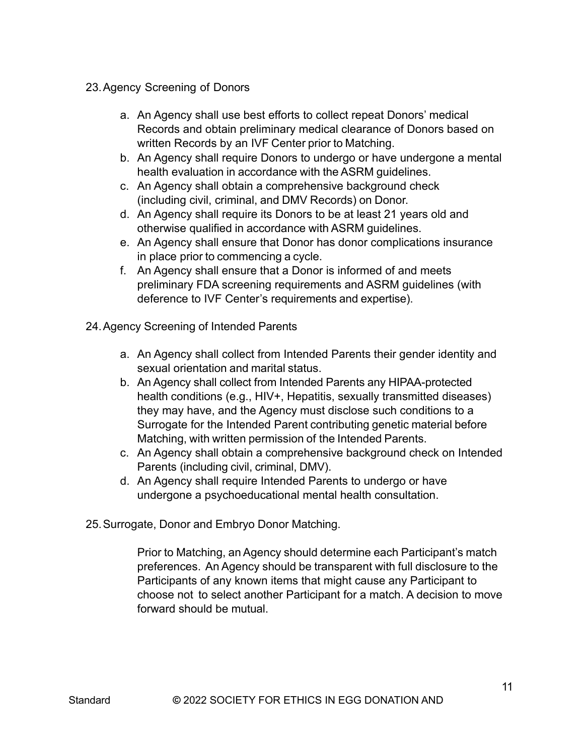- 23.Agency Screening of Donors
	- a. An Agency shall use best efforts to collect repeat Donors' medical Records and obtain preliminary medical clearance of Donors based on written Records by an IVF Center prior to Matching.
	- b. An Agency shall require Donors to undergo or have undergone a mental health evaluation in accordance with the ASRM guidelines.
	- c. An Agency shall obtain a comprehensive background check (including civil, criminal, and DMV Records) on Donor.
	- d. An Agency shall require its Donors to be at least 21 years old and otherwise qualified in accordance with ASRM guidelines.
	- e. An Agency shall ensure that Donor has donor complications insurance in place prior to commencing a cycle.
	- f. An Agency shall ensure that a Donor is informed of and meets preliminary FDA screening requirements and ASRM guidelines (with deference to IVF Center's requirements and expertise).
- 24.Agency Screening of Intended Parents
	- a. An Agency shall collect from Intended Parents their gender identity and sexual orientation and marital status.
	- b. An Agency shall collect from Intended Parents any HIPAA-protected health conditions (e.g., HIV+, Hepatitis, sexually transmitted diseases) they may have, and the Agency must disclose such conditions to a Surrogate for the Intended Parent contributing genetic material before Matching, with written permission of the Intended Parents.
	- c. An Agency shall obtain a comprehensive background check on Intended Parents (including civil, criminal, DMV).
	- d. An Agency shall require Intended Parents to undergo or have undergone a psychoeducational mental health consultation.
- 25.Surrogate, Donor and Embryo Donor Matching.

Prior to Matching, an Agency should determine each Participant's match preferences. An Agency should be transparent with full disclosure to the Participants of any known items that might cause any Participant to choose not to select another Participant for a match. A decision to move forward should be mutual.